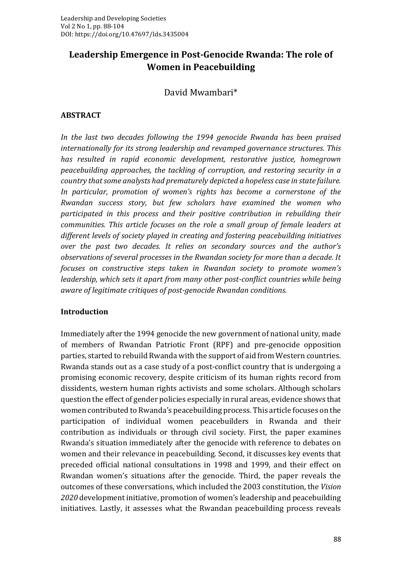# **Leadership Emergence in Post-Genocide Rwanda: The role of Women in Peacebuilding**

David Mwambari\*

#### **ABSTRACT**

*In the last two decades following the 1994 genocide Rwanda has been praised internationally for its strong leadership and revamped governance structures. This has resulted in rapid economic development, restorative justice, homegrown peacebuilding approaches, the tackling of corruption, and restoring security in a country that some analysts had prematurely depicted a hopeless case in state failure. In particular, promotion of women's rights has become a cornerstone of the Rwandan success story, but few scholars have examined the women who participated in this process and their positive contribution in rebuilding their communities. This article focuses on the role a small group of female leaders at different levels of society played in creating and fostering peacebuilding initiatives over the past two decades. It relies on secondary sources and the author's observations of several processes in the Rwandan society for more than a decade. It focuses on constructive steps taken in Rwandan society to promote women's leadership, which sets it apart from many other post-conflict countries while being aware of legitimate critiques of post-genocide Rwandan conditions.* 

#### **Introduction**

Immediately after the 1994 genocide the new government of national unity, made of members of Rwandan Patriotic Front (RPF) and pre-genocide opposition parties, started to rebuild Rwanda with the support of aid from Western countries. Rwanda stands out as a case study of a post-conflict country that is undergoing a promising economic recovery, despite criticism of its human rights record from dissidents, western human rights activists and some scholars. Although scholars question the effect of gender policies especially in rural areas, evidence shows that women contributed to Rwanda's peacebuilding process. This article focuses on the participation of individual women peacebuilders in Rwanda and their contribution as individuals or through civil society. First, the paper examines Rwanda's situation immediately after the genocide with reference to debates on women and their relevance in peacebuilding. Second, it discusses key events that preceded official national consultations in 1998 and 1999, and their effect on Rwandan women's situations after the genocide. Third, the paper reveals the outcomes of these conversations, which included the 2003 constitution, the *Vision 2020* development initiative, promotion of women's leadership and peacebuilding initiatives. Lastly, it assesses what the Rwandan peacebuilding process reveals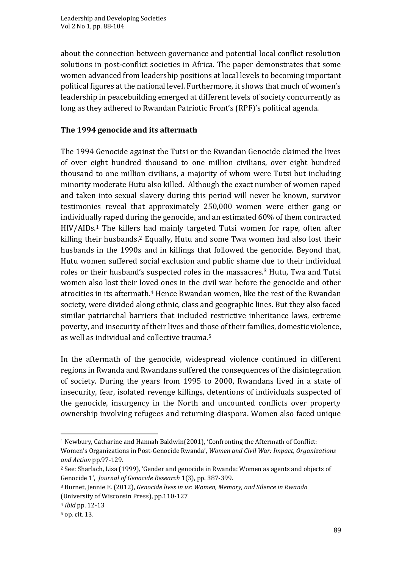about the connection between governance and potential local conflict resolution solutions in post-conflict societies in Africa. The paper demonstrates that some women advanced from leadership positions at local levels to becoming important political figures at the national level. Furthermore, it shows that much of women's leadership in peacebuilding emerged at different levels of society concurrently as long as they adhered to Rwandan Patriotic Front's (RPF)'s political agenda.

# **The 1994 genocide and its aftermath**

The 1994 Genocide against the Tutsi or the Rwandan Genocide claimed the lives of over eight hundred thousand to one million civilians, over eight hundred thousand to one million civilians, a majority of whom were Tutsi but including minority moderate Hutu also killed. Although the exact number of women raped and taken into sexual slavery during this period will never be known, survivor testimonies reveal that approximately 250,000 women were either gang or individually raped during the genocide, and an estimated 60% of them contracted HIV/AIDs.<sup>1</sup> The killers had mainly targeted Tutsi women for rape, often after killing their husbands.<sup>2</sup> Equally, Hutu and some Twa women had also lost their husbands in the 1990s and in killings that followed the genocide. Beyond that, Hutu women suffered social exclusion and public shame due to their individual roles or their husband's suspected roles in the massacres.<sup>3</sup> Hutu, Twa and Tutsi women also lost their loved ones in the civil war before the genocide and other atrocities in its aftermath.<sup>4</sup> Hence Rwandan women, like the rest of the Rwandan society, were divided along ethnic, class and geographic lines. But they also faced similar patriarchal barriers that included restrictive inheritance laws, extreme poverty, and insecurity of their lives and those of their families, domestic violence, as well as individual and collective trauma.<sup>5</sup>

In the aftermath of the genocide, widespread violence continued in different regions in Rwanda and Rwandans suffered the consequences of the disintegration of society. During the years from 1995 to 2000, Rwandans lived in a state of insecurity, fear, isolated revenge killings, detentions of individuals suspected of the genocide, insurgency in the North and uncounted conflicts over property ownership involving refugees and returning diaspora. Women also faced unique

<sup>1</sup> Newbury, Catharine and Hannah Baldwin(2001), 'Confronting the Aftermath of Conflict: Women's Organizations in Post-Genocide Rwanda', *Women and Civil War: Impact, Organizations and Action* pp.97-129.

<sup>2</sup> See: Sharlach, Lisa (1999), 'Gender and genocide in Rwanda: Women as agents and objects of Genocide 1', *Journal of Genocide Research* 1(3), pp. 387-399.

<sup>3</sup> Burnet, Jennie E. (2012), *Genocide lives in us: Women, Memory, and Silence in Rwanda* (University of Wisconsin Press), pp.110-127

<sup>4</sup> *Ibid* pp. 12-13

<sup>5</sup> op. cit. 13.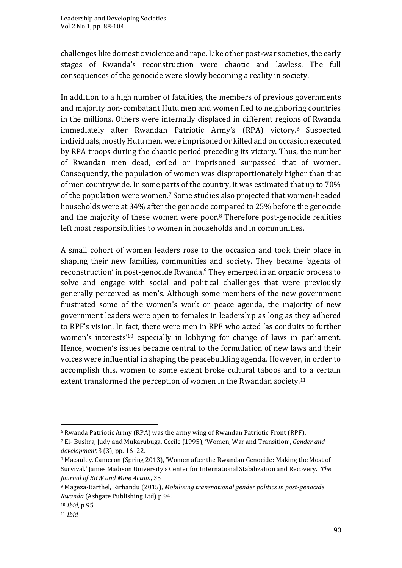challenges like domestic violence and rape. Like other post-war societies, the early stages of Rwanda's reconstruction were chaotic and lawless. The full consequences of the genocide were slowly becoming a reality in society.

In addition to a high number of fatalities, the members of previous governments and majority non-combatant Hutu men and women fled to neighboring countries in the millions. Others were internally displaced in different regions of Rwanda immediately after Rwandan Patriotic Army's (RPA) victory.<sup>6</sup> Suspected individuals, mostly Hutu men, were imprisoned or killed and on occasion executed by RPA troops during the chaotic period preceding its victory. Thus, the number of Rwandan men dead, exiled or imprisoned surpassed that of women. Consequently, the population of women was disproportionately higher than that of men countrywide. In some parts of the country, it was estimated that up to 70% of the population were women.<sup>7</sup> Some studies also projected that women-headed households were at 34% after the genocide compared to 25% before the genocide and the majority of these women were poor.<sup>8</sup> Therefore post-genocide realities left most responsibilities to women in households and in communities.

A small cohort of women leaders rose to the occasion and took their place in shaping their new families, communities and society. They became 'agents of reconstruction' in post-genocide Rwanda.<sup>9</sup> They emerged in an organic process to solve and engage with social and political challenges that were previously generally perceived as men's. Although some members of the new government frustrated some of the women's work or peace agenda, the majority of new government leaders were open to females in leadership as long as they adhered to RPF's vision. In fact, there were men in RPF who acted 'as conduits to further women's interests' <sup>10</sup> especially in lobbying for change of laws in parliament. Hence, women's issues became central to the formulation of new laws and their voices were influential in shaping the peacebuilding agenda. However, in order to accomplish this, women to some extent broke cultural taboos and to a certain extent transformed the perception of women in the Rwandan society.<sup>11</sup>

<sup>6</sup> Rwanda Patriotic Army (RPA) was the army wing of Rwandan Patriotic Front (RPF).

<sup>7</sup> El‐ Bushra, Judy and Mukarubuga, Cecile (1995), 'Women, War and Transition', *Gender and development* 3 (3), pp. 16–22.

<sup>8</sup> Macauley, Cameron (Spring 2013), 'Women after the Rwandan Genocide: Making the Most of Survival.' James Madison University's Center for International Stabilization and Recovery. *The Journal of ERW and Mine Action,* 35

<sup>9</sup> Mageza-Barthel, Rirhandu (2015), *Mobilizing transnational gender politics in post-genocide Rwanda* (Ashgate Publishing Ltd) p.94.

<sup>10</sup> *Ibid*, p.95.

<sup>11</sup> *Ibid*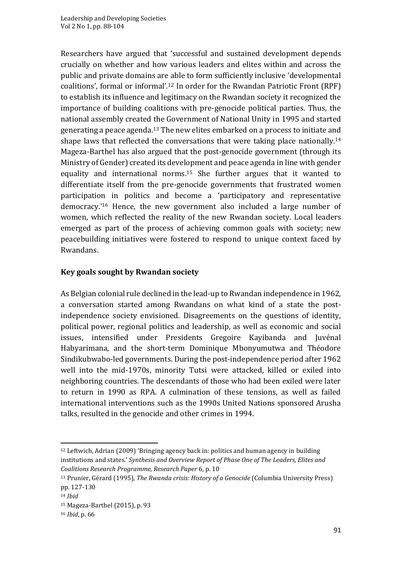Researchers have argued that 'successful and sustained development depends crucially on whether and how various leaders and elites within and across the public and private domains are able to form sufficiently inclusive 'developmental coalitions', formal or informal'*.* <sup>12</sup> In order for the Rwandan Patriotic Front (RPF) to establish its influence and legitimacy on the Rwandan society it recognized the importance of building coalitions with pre-genocide political parties. Thus, the national assembly created the Government of National Unity in 1995 and started generating a peace agenda.<sup>13</sup> The new elites embarked on a process to initiate and shape laws that reflected the conversations that were taking place nationally.<sup>14</sup> Mageza-Barthel has also argued that the post-genocide government (through its Ministry of Gender) created its development and peace agenda in line with gender equality and international norms.<sup>15</sup> She further argues that it wanted to differentiate itself from the pre-genocide governments that frustrated women participation in politics and become a 'participatory and representative democracy.' <sup>16</sup> Hence, the new government also included a large number of women, which reflected the reality of the new Rwandan society. Local leaders emerged as part of the process of achieving common goals with society; new peacebuilding initiatives were fostered to respond to unique context faced by Rwandans.

### **Key goals sought by Rwandan society**

As Belgian colonial rule declined in the lead-up to Rwandan independence in 1962, a conversation started among Rwandans on what kind of a state the postindependence society envisioned. Disagreements on the questions of identity, political power, regional politics and leadership, as well as economic and social issues, intensified under Presidents Gregoire Kayibanda and Juvénal Habyarimana, and the short-term Dominique Mbonyumutwa and Théodore Sindikubwabo-led governments. During the post-independence period after 1962 well into the mid-1970s, minority Tutsi were attacked, killed or exiled into neighboring countries. The descendants of those who had been exiled were later to return in 1990 as RPA. A culmination of these tensions, as well as failed international interventions such as the 1990s United Nations sponsored Arusha talks, resulted in the genocide and other crimes in 1994.

 $12$  Leftwich, Adrian (2009) 'Bringing agency back in: politics and human agency in building institutions and states.' *Synthesis and Overview Report of Phase One of The Leaders, Elites and Coalitions Research Programme, Research Paper* 6, p. 10

<sup>13</sup> Prunier, Gérard (1995), *The Rwanda crisis: History of a Genocide* (Columbia University Press) pp. 127-130

<sup>14</sup> *Ibid*

<sup>15</sup> Mageza-Barthel (2015), p. 93

<sup>16</sup> *Ibid*, p. 66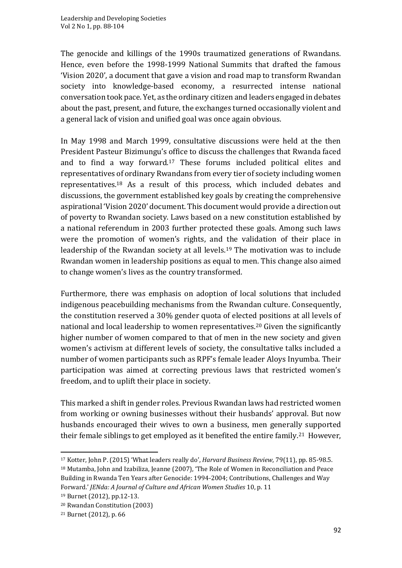The genocide and killings of the 1990s traumatized generations of Rwandans. Hence, even before the 1998-1999 National Summits that drafted the famous 'Vision 2020', a document that gave a vision and road map to transform Rwandan society into knowledge-based economy, a resurrected intense national conversation took pace. Yet, as the ordinary citizen and leaders engaged in debates about the past, present, and future, the exchanges turned occasionally violent and a general lack of vision and unified goal was once again obvious.

In May 1998 and March 1999, consultative discussions were held at the then President Pasteur Bizimungu's office to discuss the challenges that Rwanda faced and to find a way forward.<sup>17</sup> These forums included political elites and representatives of ordinary Rwandans from every tier of society including women representatives.<sup>18</sup> As a result of this process, which included debates and discussions, the government established key goals by creating the comprehensive aspirational 'Vision 2020' document. This document would provide a direction out of poverty to Rwandan society. Laws based on a new constitution established by a national referendum in 2003 further protected these goals. Among such laws were the promotion of women's rights, and the validation of their place in leadership of the Rwandan society at all levels.<sup>19</sup> The motivation was to include Rwandan women in leadership positions as equal to men. This change also aimed to change women's lives as the country transformed.

Furthermore, there was emphasis on adoption of local solutions that included indigenous peacebuilding mechanisms from the Rwandan culture. Consequently, the constitution reserved a 30% gender quota of elected positions at all levels of national and local leadership to women representatives.<sup>20</sup> Given the significantly higher number of women compared to that of men in the new society and given women's activism at different levels of society, the consultative talks included a number of women participants such as RPF's female leader Aloys Inyumba. Their participation was aimed at correcting previous laws that restricted women's freedom, and to uplift their place in society.

This marked a shift in gender roles. Previous Rwandan laws had restricted women from working or owning businesses without their husbands' approval. But now husbands encouraged their wives to own a business, men generally supported their female siblings to get employed as it benefited the entire family.<sup>21</sup> However,

<sup>17</sup> Kotter, John P. (2015) 'What leaders really do', *Harvard Business Review*, 79(11), pp. 85-98.5. <sup>18</sup> Mutamba, John and Izabiliza, Jeanne (2007), 'The Role of Women in Reconciliation and Peace Building in Rwanda Ten Years after Genocide: 1994-2004; Contributions, Challenges and Way Forward.' *JENda: A Journal of Culture and African Women Studies* 10, p. 11

<sup>19</sup> Burnet (2012), pp.12-13.

<sup>20</sup> Rwandan Constitution (2003)

<sup>21</sup> Burnet (2012), p. 66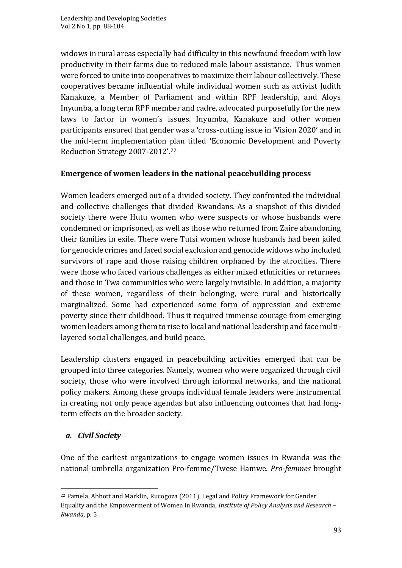widows in rural areas especially had difficulty in this newfound freedom with low productivity in their farms due to reduced male labour assistance. Thus women were forced to unite into cooperatives to maximize their labour collectively. These cooperatives became influential while individual women such as activist Judith Kanakuze, a Member of Parliament and within RPF leadership, and Aloys Inyumba, a long term RPF member and cadre, advocated purposefully for the new laws to factor in women's issues. Inyumba, Kanakuze and other women participants ensured that gender was a 'cross-cutting issue in 'Vision 2020' and in the mid-term implementation plan titled 'Economic Development and Poverty Reduction Strategy 2007-2012'.<sup>22</sup>

# **Emergence of women leaders in the national peacebuilding process**

Women leaders emerged out of a divided society. They confronted the individual and collective challenges that divided Rwandans. As a snapshot of this divided society there were Hutu women who were suspects or whose husbands were condemned or imprisoned, as well as those who returned from Zaire abandoning their families in exile. There were Tutsi women whose husbands had been jailed for genocide crimes and faced social exclusion and genocide widows who included survivors of rape and those raising children orphaned by the atrocities. There were those who faced various challenges as either mixed ethnicities or returnees and those in Twa communities who were largely invisible. In addition, a majority of these women, regardless of their belonging, were rural and historically marginalized. Some had experienced some form of oppression and extreme poverty since their childhood. Thus it required immense courage from emerging women leaders among them to rise to local and national leadership and face multilayered social challenges, and build peace.

Leadership clusters engaged in peacebuilding activities emerged that can be grouped into three categories. Namely, women who were organized through civil society, those who were involved through informal networks, and the national policy makers. Among these groups individual female leaders were instrumental in creating not only peace agendas but also influencing outcomes that had longterm effects on the broader society.

# *a. Civil Society*

One of the earliest organizations to engage women issues in Rwanda was the national umbrella organization Pro-femme/Twese Hamwe. *Pro-femmes* brought

<sup>22</sup> Pamela, Abbott and Marklin, Rucogoza (2011), Legal and Policy Framework for Gender Equality and the Empowerment of Women in Rwanda, *Institute of Policy Analysis and Research – Rwanda,* p*.* 5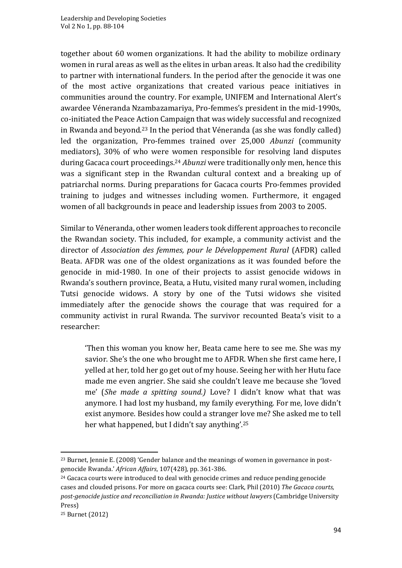together about 60 women organizations. It had the ability to mobilize ordinary women in rural areas as well as the elites in urban areas. It also had the credibility to partner with international funders. In the period after the genocide it was one of the most active organizations that created various peace initiatives in communities around the country. For example, UNIFEM and International Alert's awardee Véneranda Nzambazamariya, Pro-femmes's president in the mid-1990s, co-initiated the Peace Action Campaign that was widely successful and recognized in Rwanda and beyond.<sup>23</sup> In the period that Véneranda (as she was fondly called) led the organization, Pro-femmes trained over 25,000 *Abunzi* (community mediators), 30% of who were women responsible for resolving land disputes during Gacaca court proceedings.<sup>24</sup> *Abunzi* were traditionally only men, hence this was a significant step in the Rwandan cultural context and a breaking up of patriarchal norms. During preparations for Gacaca courts Pro-femmes provided training to judges and witnesses including women. Furthermore, it engaged women of all backgrounds in peace and leadership issues from 2003 to 2005.

Similar to Véneranda, other women leaders took different approaches to reconcile the Rwandan society. This included, for example, a community activist and the director of *Association des femmes, pour le Développement Rural* (AFDR) called Beata. AFDR was one of the oldest organizations as it was founded before the genocide in mid-1980. In one of their projects to assist genocide widows in Rwanda's southern province, Beata, a Hutu, visited many rural women, including Tutsi genocide widows. A story by one of the Tutsi widows she visited immediately after the genocide shows the courage that was required for a community activist in rural Rwanda. The survivor recounted Beata's visit to a researcher:

'Then this woman you know her, Beata came here to see me. She was my savior. She's the one who brought me to AFDR. When she first came here, I yelled at her, told her go get out of my house. Seeing her with her Hutu face made me even angrier. She said she couldn't leave me because she 'loved me' (*She made a spitting sound.)* Love? I didn't know what that was anymore. I had lost my husband, my family everything. For me, love didn't exist anymore. Besides how could a stranger love me? She asked me to tell her what happened, but I didn't say anything'.<sup>25</sup>

<sup>&</sup>lt;sup>23</sup> Burnet, Jennie E. (2008) 'Gender balance and the meanings of women in governance in postgenocide Rwanda.' *African Affairs*, 107(428), pp. 361-386.

<sup>&</sup>lt;sup>24</sup> Gacaca courts were introduced to deal with genocide crimes and reduce pending genocide cases and clouded prisons. For more on gacaca courts see: Clark, Phil (2010) *The Gacaca courts, post-genocide justice and reconciliation in Rwanda: Justice without lawyers* (Cambridge University Press)

<sup>25</sup> Burnet (2012)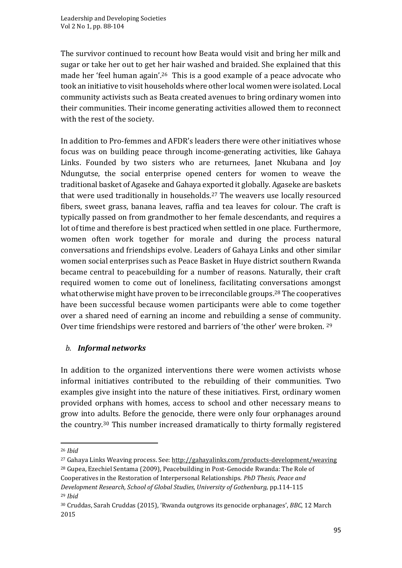The survivor continued to recount how Beata would visit and bring her milk and sugar or take her out to get her hair washed and braided. She explained that this made her 'feel human again'.<sup>26</sup> This is a good example of a peace advocate who took an initiative to visit households where other local women were isolated. Local community activists such as Beata created avenues to bring ordinary women into their communities. Their income generating activities allowed them to reconnect with the rest of the society.

In addition to Pro-femmes and AFDR's leaders there were other initiatives whose focus was on building peace through income-generating activities, like Gahaya Links. Founded by two sisters who are returnees, Janet Nkubana and Joy Ndungutse, the social enterprise opened centers for women to weave the traditional basket of Agaseke and Gahaya exported it globally. Agaseke are baskets that were used traditionally in households.<sup>27</sup> The weavers use locally resourced fibers, sweet grass, banana leaves, raffia and tea leaves for colour. The craft is typically passed on from grandmother to her female descendants, and requires a lot of time and therefore is best practiced when settled in one place. Furthermore, women often work together for morale and during the process natural conversations and friendships evolve. Leaders of Gahaya Links and other similar women social enterprises such as Peace Basket in Huye district southern Rwanda became central to peacebuilding for a number of reasons. Naturally, their craft required women to come out of loneliness, facilitating conversations amongst what otherwise might have proven to be irreconcilable groups.<sup>28</sup> The cooperatives have been successful because women participants were able to come together over a shared need of earning an income and rebuilding a sense of community. Over time friendships were restored and barriers of 'the other' were broken. <sup>29</sup>

### *b. Informal networks*

In addition to the organized interventions there were women activists whose informal initiatives contributed to the rebuilding of their communities. Two examples give insight into the nature of these initiatives. First, ordinary women provided orphans with homes, access to school and other necessary means to grow into adults. Before the genocide, there were only four orphanages around the country.<sup>30</sup> This number increased dramatically to thirty formally registered

<sup>26</sup> *Ibid*

<sup>27</sup> Gahaya Links Weaving process. See[: http://gahayalinks.com/products-development/weaving](http://gahayalinks.com/products-development/weaving)

<sup>28</sup> Gupea, Ezechiel Sentama (2009), Peacebuilding in Post-Genocide Rwanda: The Role of Cooperatives in the Restoration of Interpersonal Relationships. *PhD Thesis, Peace and Development Research, School of Global Studies, University of Gothenburg,* pp.114-115 <sup>29</sup> *Ibid*

<sup>30</sup> Cruddas, Sarah Cruddas (2015), 'Rwanda outgrows its genocide orphanages', *BBC*, 12 March 2015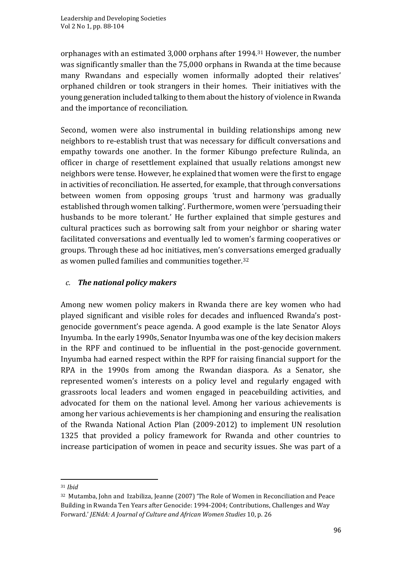orphanages with an estimated 3,000 orphans after 1994.<sup>31</sup> However, the number was significantly smaller than the 75,000 orphans in Rwanda at the time because many Rwandans and especially women informally adopted their relatives' orphaned children or took strangers in their homes. Their initiatives with the young generation included talking to them about the history of violence in Rwanda and the importance of reconciliation.

Second, women were also instrumental in building relationships among new neighbors to re-establish trust that was necessary for difficult conversations and empathy towards one another. In the former Kibungo prefecture Rulinda, an officer in charge of resettlement explained that usually relations amongst new neighbors were tense. However, he explained that women were the first to engage in activities of reconciliation. He asserted, for example, that through conversations between women from opposing groups 'trust and harmony was gradually established through women talking'. Furthermore, women were 'persuading their husbands to be more tolerant.' He further explained that simple gestures and cultural practices such as borrowing salt from your neighbor or sharing water facilitated conversations and eventually led to women's farming cooperatives or groups. Through these ad hoc initiatives, men's conversations emerged gradually as women pulled families and communities together.<sup>32</sup>

# *c. The national policy makers*

Among new women policy makers in Rwanda there are key women who had played significant and visible roles for decades and influenced Rwanda's postgenocide government's peace agenda. A good example is the late Senator Aloys Inyumba. In the early 1990s, Senator Inyumba was one of the key decision makers in the RPF and continued to be influential in the post-genocide government. Inyumba had earned respect within the RPF for raising financial support for the RPA in the 1990s from among the Rwandan diaspora. As a Senator, she represented women's interests on a policy level and regularly engaged with grassroots local leaders and women engaged in peacebuilding activities, and advocated for them on the national level. Among her various achievements is among her various achievements is her championing and ensuring the realisation of the Rwanda National Action Plan (2009-2012) to implement UN resolution 1325 that provided a policy framework for Rwanda and other countries to increase participation of women in peace and security issues. She was part of a

<sup>31</sup> *Ibid*

<sup>32</sup> Mutamba, John and Izabiliza, Jeanne (2007) 'The Role of Women in Reconciliation and Peace Building in Rwanda Ten Years after Genocide: 1994-2004; Contributions, Challenges and Way Forward.' *JENdA: A Journal of Culture and African Women Studies* 10, p. 26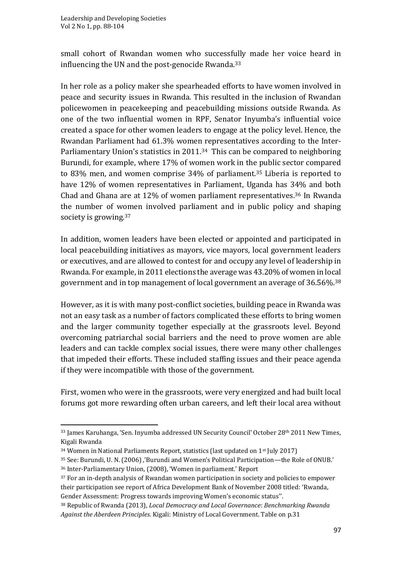small cohort of Rwandan women who successfully made her voice heard in influencing the UN and the post-genocide Rwanda.<sup>33</sup>

In her role as a policy maker she spearheaded efforts to have women involved in peace and security issues in Rwanda. This resulted in the inclusion of Rwandan policewomen in peacekeeping and peacebuilding missions outside Rwanda. As one of the two influential women in RPF, Senator Inyumba's influential voice created a space for other women leaders to engage at the policy level. Hence, the Rwandan Parliament had 61.3% women representatives according to the Inter-Parliamentary Union's statistics in 2011.<sup>34</sup> This can be compared to neighboring Burundi, for example, where 17% of women work in the public sector compared to 83% men, and women comprise 34% of parliament.<sup>35</sup> Liberia is reported to have 12% of women representatives in Parliament, Uganda has 34% and both Chad and Ghana are at 12% of women parliament representatives.<sup>36</sup> In Rwanda the number of women involved parliament and in public policy and shaping society is growing.<sup>37</sup>

In addition, women leaders have been elected or appointed and participated in local peacebuilding initiatives as mayors, vice mayors, local government leaders or executives, and are allowed to contest for and occupy any level of leadership in Rwanda. For example, in 2011 elections the average was 43.20% of women in local government and in top management of local government an average of 36.56%.<sup>38</sup>

However, as it is with many post-conflict societies, building peace in Rwanda was not an easy task as a number of factors complicated these efforts to bring women and the larger community together especially at the grassroots level. Beyond overcoming patriarchal social barriers and the need to prove women are able leaders and can tackle complex social issues, there were many other challenges that impeded their efforts. These included staffing issues and their peace agenda if they were incompatible with those of the government.

First, women who were in the grassroots, were very energized and had built local forums got more rewarding often urban careers, and left their local area without

<sup>&</sup>lt;sup>33</sup> James Karuhanga, 'Sen. Inyumba addressed UN Security Council' October 28<sup>th</sup> 2011 New Times, Kigali Rwanda

<sup>&</sup>lt;sup>34</sup> Women in National Parliaments Report, statistics (last updated on 1<sup>st</sup> July 2017)

<sup>35</sup> See: Burundi, U. N. (2006) ,'Burundi and Women's Political Participation—the Role of ONUB.' <sup>36</sup> Inter-Parliamentary Union, (2008), 'Women in parliament.' Report

<sup>&</sup>lt;sup>37</sup> For an in-depth analysis of Rwandan women participation in society and policies to empower their participation see report of Africa Development Bank of November 2008 titled: 'Rwanda, Gender Assessment: Progress towards improving Women's economic status''.

<sup>38</sup> Republic of Rwanda (2013), *Local Democracy and Local Governance*: *Benchmarking Rwanda Against the Aberdeen Principles*. Kigali: Ministry of Local Government. Table on p.31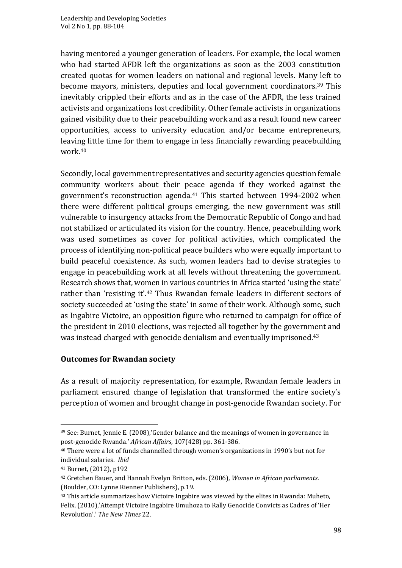having mentored a younger generation of leaders. For example, the local women who had started AFDR left the organizations as soon as the 2003 constitution created quotas for women leaders on national and regional levels. Many left to become mayors, ministers, deputies and local government coordinators.<sup>39</sup> This inevitably crippled their efforts and as in the case of the AFDR, the less trained activists and organizations lost credibility. Other female activists in organizations gained visibility due to their peacebuilding work and as a result found new career opportunities, access to university education and/or became entrepreneurs, leaving little time for them to engage in less financially rewarding peacebuilding work.<sup>40</sup>

Secondly, local government representatives and security agencies question female community workers about their peace agenda if they worked against the government's reconstruction agenda.<sup>41</sup> This started between 1994-2002 when there were different political groups emerging, the new government was still vulnerable to insurgency attacks from the Democratic Republic of Congo and had not stabilized or articulated its vision for the country. Hence, peacebuilding work was used sometimes as cover for political activities, which complicated the process of identifying non-political peace builders who were equally important to build peaceful coexistence. As such, women leaders had to devise strategies to engage in peacebuilding work at all levels without threatening the government. Research shows that, women in various countries in Africa started 'using the state' rather than 'resisting it'.<sup>42</sup> Thus Rwandan female leaders in different sectors of society succeeded at 'using the state' in some of their work. Although some, such as Ingabire Victoire, an opposition figure who returned to campaign for office of the president in 2010 elections, was rejected all together by the government and was instead charged with genocide denialism and eventually imprisoned.<sup>43</sup>

### **Outcomes for Rwandan society**

As a result of majority representation, for example, Rwandan female leaders in parliament ensured change of legislation that transformed the entire society's perception of women and brought change in post-genocide Rwandan society. For

<sup>39</sup> See: Burnet, Jennie E. (2008),'Gender balance and the meanings of women in governance in post-genocide Rwanda.' *African Affairs*, 107(428) pp. 361-386.

<sup>40</sup> There were a lot of funds channelled through women's organizations in 1990's but not for individual salaries. *Ibid*

<sup>41</sup> Burnet, (2012), p192

<sup>42</sup> Gretchen Bauer, and Hannah Evelyn Britton, eds. (2006), *Women in African parliaments*. (Boulder, CO: Lynne Rienner Publishers), p.19.

<sup>&</sup>lt;sup>43</sup> This article summarizes how Victoire Ingabire was viewed by the elites in Rwanda: Muheto, Felix. (2010),'Attempt Victoire Ingabire Umuhoza to Rally Genocide Convicts as Cadres of 'Her Revolution'.' *The New Times* 22.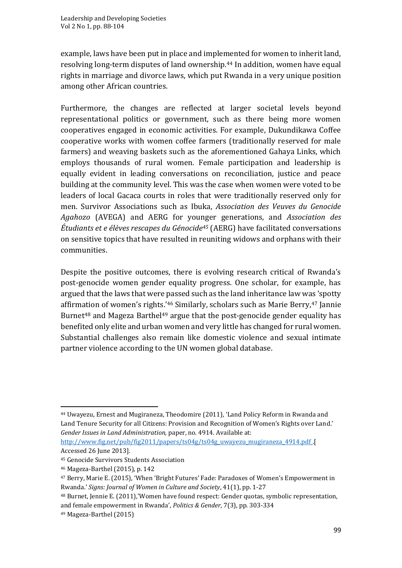example, laws have been put in place and implemented for women to inherit land, resolving long-term disputes of land ownership.<sup>44</sup> In addition, women have equal rights in marriage and divorce laws, which put Rwanda in a very unique position among other African countries.

Furthermore, the changes are reflected at larger societal levels beyond representational politics or government, such as there being more women cooperatives engaged in economic activities. For example, Dukundikawa Coffee cooperative works with women coffee farmers (traditionally reserved for male farmers) and weaving baskets such as the aforementioned Gahaya Links, which employs thousands of rural women. Female participation and leadership is equally evident in leading conversations on reconciliation, justice and peace building at the community level. This was the case when women were voted to be leaders of local Gacaca courts in roles that were traditionally reserved only for men. Survivor Associations such as Ibuka, *Association des Veuves du Genocide Agahozo* (AVEGA) and AERG for younger generations, and *Association des Étudiants et e élèves rescapes du Génocide<sup>45</sup>* (AERG) have facilitated conversations on sensitive topics that have resulted in reuniting widows and orphans with their communities.

Despite the positive outcomes, there is evolving research critical of Rwanda's post-genocide women gender equality progress. One scholar, for example, has argued that the laws that were passed such as the land inheritance law was 'spotty affirmation of women's rights.' <sup>46</sup> Similarly, scholars such as Marie Berry, <sup>47</sup> Jannie Burnet<sup>48</sup> and Mageza Barthel<sup>49</sup> argue that the post-genocide gender equality has benefited only elite and urban women and very little has changed for rural women. Substantial challenges also remain like domestic violence and sexual intimate partner violence according to the UN women global database.

[http://www.fig.net/pub/fig2011/papers/ts04g/ts04g\\_uwayezu\\_mugiraneza\\_4914.pdf](http://www.fig.net/pub/fig2011/papers/ts04g/ts04g_uwayezu_mugiraneza_4914.pdf) .[ Accessed 26 June 2013].

<sup>44</sup> Uwayezu, Ernest and Mugiraneza, Theodomire (2011), 'Land Policy Reform in Rwanda and Land Tenure Security for all Citizens: Provision and Recognition of Women's Rights over Land.' *Gender Issues in Land Administration,* paper, no. 4914. Available at:

<sup>45</sup> Genocide Survivors Students Association

<sup>46</sup> Mageza-Barthel (2015), p. 142

<sup>47</sup> Berry, Marie E. (2015), 'When 'Bright Futures' Fade: Paradoxes of Women's Empowerment in Rwanda.' *Signs: Journal of Women in Culture and Society*, 41(1), pp. 1-27

<sup>48</sup> Burnet, Jennie E. (2011),'Women have found respect: Gender quotas, symbolic representation, and female empowerment in Rwanda', *Politics & Gender*, 7(3), pp. 303-334

<sup>49</sup> Mageza-Barthel (2015)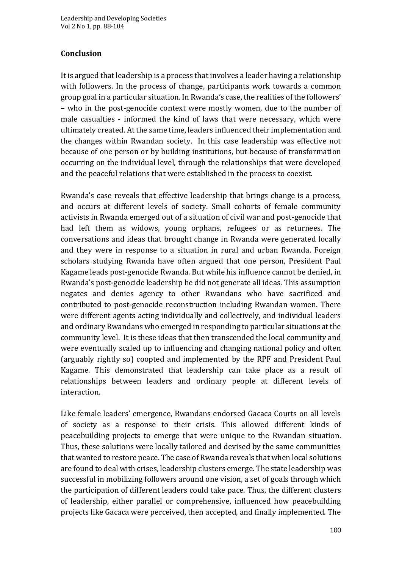### **Conclusion**

It is argued that leadership is a process that involves a leader having a relationship with followers. In the process of change, participants work towards a common group goal in a particular situation. In Rwanda's case, the realities of the followers' – who in the post-genocide context were mostly women, due to the number of male casualties - informed the kind of laws that were necessary, which were ultimately created. At the same time, leaders influenced their implementation and the changes within Rwandan society. In this case leadership was effective not because of one person or by building institutions, but because of transformation occurring on the individual level, through the relationships that were developed and the peaceful relations that were established in the process to coexist.

Rwanda's case reveals that effective leadership that brings change is a process, and occurs at different levels of society. Small cohorts of female community activists in Rwanda emerged out of a situation of civil war and post-genocide that had left them as widows, young orphans, refugees or as returnees. The conversations and ideas that brought change in Rwanda were generated locally and they were in response to a situation in rural and urban Rwanda. Foreign scholars studying Rwanda have often argued that one person, President Paul Kagame leads post-genocide Rwanda. But while his influence cannot be denied, in Rwanda's post-genocide leadership he did not generate all ideas. This assumption negates and denies agency to other Rwandans who have sacrificed and contributed to post-genocide reconstruction including Rwandan women. There were different agents acting individually and collectively, and individual leaders and ordinary Rwandans who emerged in responding to particular situations at the community level. It is these ideas that then transcended the local community and were eventually scaled up to influencing and changing national policy and often (arguably rightly so) coopted and implemented by the RPF and President Paul Kagame. This demonstrated that leadership can take place as a result of relationships between leaders and ordinary people at different levels of interaction.

Like female leaders' emergence, Rwandans endorsed Gacaca Courts on all levels of society as a response to their crisis. This allowed different kinds of peacebuilding projects to emerge that were unique to the Rwandan situation. Thus, these solutions were locally tailored and devised by the same communities that wanted to restore peace. The case of Rwanda reveals that when local solutions are found to deal with crises, leadership clusters emerge. The state leadership was successful in mobilizing followers around one vision, a set of goals through which the participation of different leaders could take pace. Thus, the different clusters of leadership, either parallel or comprehensive, influenced how peacebuilding projects like Gacaca were perceived, then accepted, and finally implemented. The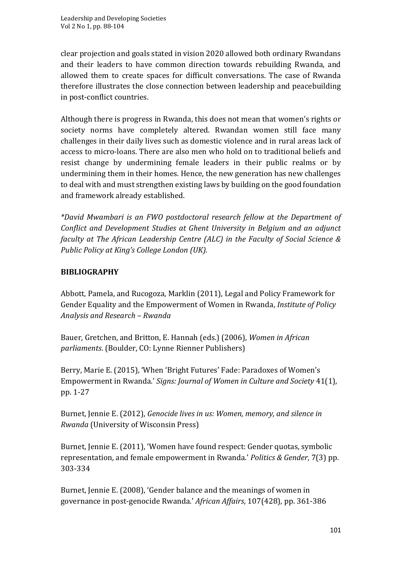clear projection and goals stated in vision 2020 allowed both ordinary Rwandans and their leaders to have common direction towards rebuilding Rwanda, and allowed them to create spaces for difficult conversations. The case of Rwanda therefore illustrates the close connection between leadership and peacebuilding in post-conflict countries.

Although there is progress in Rwanda, this does not mean that women's rights or society norms have completely altered. Rwandan women still face many challenges in their daily lives such as domestic violence and in rural areas lack of access to micro-loans. There are also men who hold on to traditional beliefs and resist change by undermining female leaders in their public realms or by undermining them in their homes. Hence, the new generation has new challenges to deal with and must strengthen existing laws by building on the good foundation and framework already established.

*\*David Mwambari is an FWO postdoctoral research fellow at the Department of Conflict and Development Studies at Ghent University in Belgium and an adjunct faculty at The African Leadership Centre (ALC) in the Faculty of Social Science & Public Policy at King's College London (UK).*

# **BIBLIOGRAPHY**

Abbott, Pamela, and Rucogoza, Marklin (2011), Legal and Policy Framework for Gender Equality and the Empowerment of Women in Rwanda, *Institute of Policy Analysis and Research – Rwanda*

Bauer, Gretchen, and Britton, E. Hannah (eds.) (2006), *Women in African parliaments*. (Boulder, CO: Lynne Rienner Publishers)

Berry, Marie E. (2015), 'When 'Bright Futures' Fade: Paradoxes of Women's Empowerment in Rwanda.' *Signs: Journal of Women in Culture and Society* 41(1), pp. 1-27

Burnet, Jennie E. (2012), *Genocide lives in us: Women, memory, and silence in Rwanda* (University of Wisconsin Press)

Burnet, Jennie E. (2011), 'Women have found respect: Gender quotas, symbolic representation, and female empowerment in Rwanda.' *Politics & Gender*, 7(3) pp. 303-334

Burnet, Jennie E. (2008), 'Gender balance and the meanings of women in governance in post-genocide Rwanda.' *African Affairs*, 107(428), pp. 361-386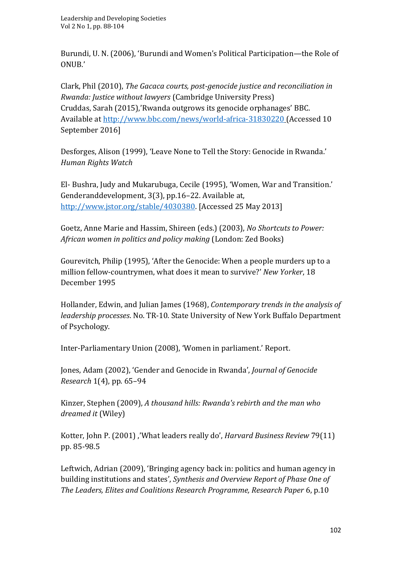Burundi, U. N. (2006), 'Burundi and Women's Political Participation—the Role of ONUB.'

Clark, Phil (2010), *The Gacaca courts, post-genocide justice and reconciliation in Rwanda: Justice without lawyers* (Cambridge University Press) Cruddas, Sarah (2015),'Rwanda outgrows its genocide orphanages' BBC. Available at http://www.bbc.com/news/world-africa-31830220 (Accessed 10 September 2016]

Desforges, Alison (1999), 'Leave None to Tell the Story: Genocide in Rwanda.' *Human Rights Watch*

El‐ Bushra, Judy and Mukarubuga, Cecile (1995), 'Women, War and Transition.' Genderanddevelopment, 3(3), pp.16–22. Available at, [http://www.jstor.org/stable/4030380.](http://www.jstor.org/stable/4030380) [Accessed 25 May 2013]

Goetz, Anne Marie and Hassim, Shireen (eds.) (2003), *No Shortcuts to Power: African women in politics and policy making* (London: Zed Books)

Gourevitch, Philip (1995), 'After the Genocide: When a people murders up to a million fellow-countrymen, what does it mean to survive?' *New Yorker*, 18 December 1995

Hollander, Edwin, and Julian James (1968), *Contemporary trends in the analysis of leadership processes*. No. TR-10. State University of New York Buffalo Department of Psychology.

Inter-Parliamentary Union (2008), 'Women in parliament.' Report.

Jones, Adam (2002), 'Gender and Genocide in Rwanda', *Journal of Genocide Research* 1(4), pp. 65–94

Kinzer, Stephen (2009), *A thousand hills: Rwanda's rebirth and the man who dreamed it* (Wiley)

Kotter, John P. (2001) ,'What leaders really do', *Harvard Business Review* 79(11) pp. 85-98.5

Leftwich, Adrian (2009), 'Bringing agency back in: politics and human agency in building institutions and states', *Synthesis and Overview Report of Phase One of The Leaders, Elites and Coalitions Research Programme, Research Paper* 6, p.10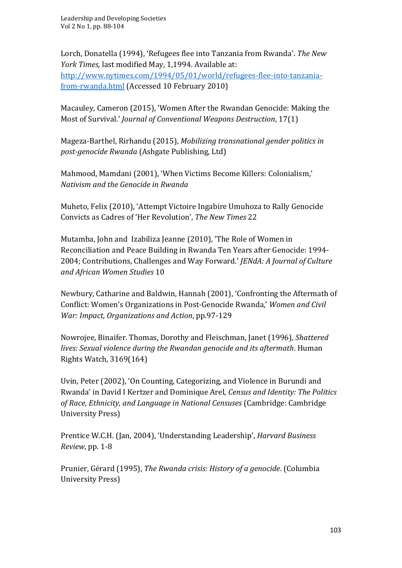Lorch, Donatella (1994), 'Refugees flee into Tanzania from Rwanda'. *The New York Times,* last modified May, 1,1994. Available at: [http://www.nytimes.com/1994/05/01/world/refugees-flee-into-tanzania](http://www.nytimes.com/1994/05/01/world/refugees-flee-into-tanzania-from-rwanda.html)[from-rwanda.html](http://www.nytimes.com/1994/05/01/world/refugees-flee-into-tanzania-from-rwanda.html) (Accessed 10 February 2010)

Macauley, Cameron (2015), 'Women After the Rwandan Genocide: Making the Most of Survival.' *Journal of Conventional Weapons Destruction*, 17(1)

Mageza-Barthel, Rirhandu (2015), *Mobilizing transnational gender politics in post-genocide Rwanda* (Ashgate Publishing, Ltd)

Mahmood, Mamdani (2001), 'When Victims Become Killers: Colonialism,' *Nativism and the Genocide in Rwanda*

Muheto, Felix (2010), 'Attempt Victoire Ingabire Umuhoza to Rally Genocide Convicts as Cadres of 'Her Revolution', *The New Times* 22

Mutamba, John and Izabiliza Jeanne (2010), 'The Role of Women in Reconciliation and Peace Building in Rwanda Ten Years after Genocide: 1994- 2004; Contributions, Challenges and Way Forward.' *JENdA: A Journal of Culture and African Women Studies* 10

Newbury, Catharine and Baldwin, Hannah (2001), 'Confronting the Aftermath of Conflict: Women's Organizations in Post-Genocide Rwanda,' *Women and Civil War: Impact, Organizations and Action*, pp.97-129

Nowrojee, Binaifer. Thomas, Dorothy and Fleischman, Janet (1996), *Shattered lives: Sexual violence during the Rwandan genocide and its aftermath*. Human Rights Watch, 3169(164)

Uvin, Peter (2002), 'On Counting, Categorizing, and Violence in Burundi and Rwanda' in David I Kertzer and Dominique Arel, *Census and Identity: The Politics of Race, Ethnicity, and Language in National Censuses* (Cambridge: Cambridge University Press)

Prentice W.C.H. (Jan, 2004), 'Understanding Leadership', *Harvard Business Review*, pp. 1-8

Prunier, Gérard (1995), *The Rwanda crisis: History of a genocide*. (Columbia University Press)